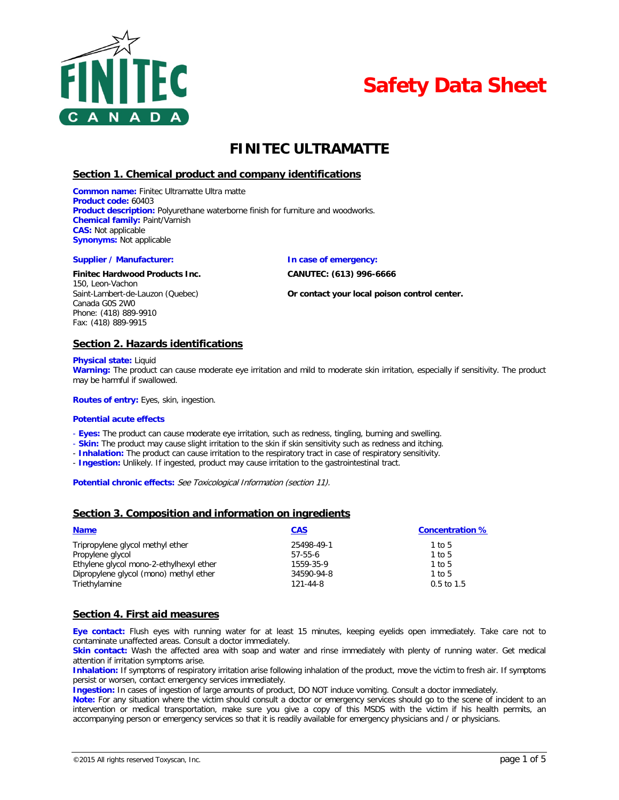



# **FINITEC ULTRAMATTE**

# **Section 1. Chemical product and company identifications**

**Common name:** Finitec Ultramatte Ultra matte **Product code:** 60403 **Product description:** Polyurethane waterborne finish for furniture and woodworks. **Chemical family:** Paint/Varnish **CAS:** Not applicable **Synonyms:** Not applicable

#### **Supplier / Manufacturer: In case of emergency:**

#### **Finitec Hardwood Products Inc. CANUTEC: (613) 996-6666**

150, Leon-Vachon Canada G0S 2W0 Phone: (418) 889-9910 Fax: (418) 889-9915

Saint-Lambert-de-Lauzon (Quebec) **Or contact your local poison control center.**

### **Section 2. Hazards identifications**

**Physical state:** Liquid

**Warning:** The product can cause moderate eye irritation and mild to moderate skin irritation, especially if sensitivity. The product may be harmful if swallowed.

**Routes of entry:** Eyes, skin, ingestion.

#### **Potential acute effects**

- **Eyes:** The product can cause moderate eye irritation, such as redness, tingling, burning and swelling.

- **Skin:** The product may cause slight irritation to the skin if skin sensitivity such as redness and itching.
- **Inhalation:** The product can cause irritation to the respiratory tract in case of respiratory sensitivity.
- **Ingestion:** Unlikely. If ingested, product may cause irritation to the gastrointestinal tract.

**Potential chronic effects:** See Toxicological Information (section 11).

### **Section 3. Composition and information on ingredients**

| <b>Name</b>                             | <b>CAS</b> | <b>Concentration %</b> |
|-----------------------------------------|------------|------------------------|
| Tripropylene glycol methyl ether        | 25498-49-1 | 1 to 5                 |
| Propylene glycol                        | 57-55-6    | 1 to 5                 |
| Ethylene glycol mono-2-ethylhexyl ether | 1559-35-9  | 1 to 5                 |
| Dipropylene glycol (mono) methyl ether  | 34590-94-8 | 1 to 5                 |
| Triethylamine                           | 121-44-8   | $0.5$ to 1.5           |

### **Section 4. First aid measures**

**Eye contact:** Flush eyes with running water for at least 15 minutes, keeping eyelids open immediately. Take care not to contaminate unaffected areas. Consult a doctor immediately.

**Skin contact:** Wash the affected area with soap and water and rinse immediately with plenty of running water. Get medical attention if irritation symptoms arise.

**Inhalation:** If symptoms of respiratory irritation arise following inhalation of the product, move the victim to fresh air. If symptoms persist or worsen, contact emergency services immediately.

**Ingestion:** In cases of ingestion of large amounts of product, DO NOT induce vomiting. Consult a doctor immediately.

**Note:** For any situation where the victim should consult a doctor or emergency services should go to the scene of incident to an intervention or medical transportation, make sure you give a copy of this MSDS with the victim if his health permits, an accompanying person or emergency services so that it is readily available for emergency physicians and / or physicians.

©2015 All rights reserved Toxyscan, Inc. page 1 of 5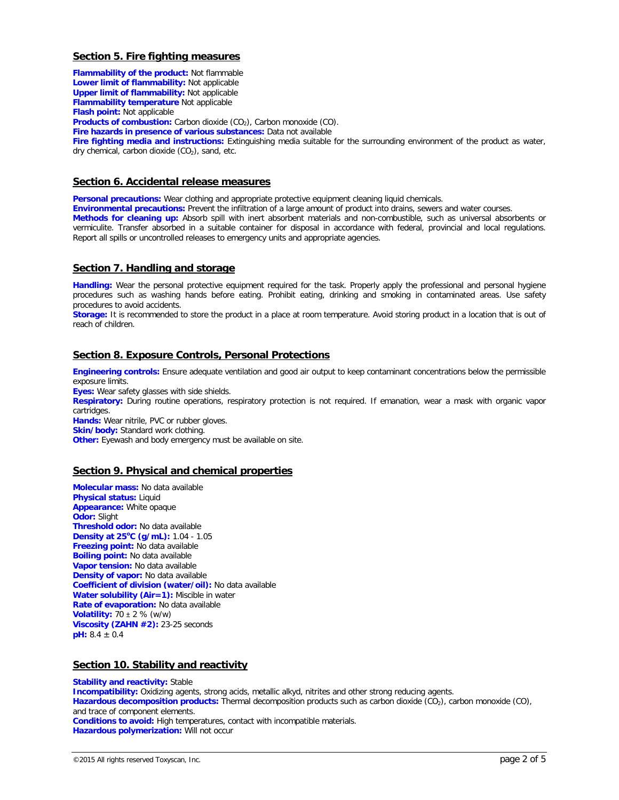# **Section 5. Fire fighting measures**

**Flammability of the product:** Not flammable **Lower limit of flammability:** Not applicable **Upper limit of flammability:** Not applicable **Flammability temperature** Not applicable **Flash point:** Not applicable **Products of combustion:** Carbon dioxide (CO<sub>2</sub>), Carbon monoxide (CO). **Fire hazards in presence of various substances:** Data not available **Fire fighting media and instructions:** Extinguishing media suitable for the surrounding environment of the product as water, dry chemical, carbon dioxide  $(CO<sub>2</sub>)$ , sand, etc.

# **Section 6. Accidental release measures**

**Personal precautions:** Wear clothing and appropriate protective equipment cleaning liquid chemicals.

**Environmental precautions:** Prevent the infiltration of a large amount of product into drains, sewers and water courses.

**Methods for cleaning up:** Absorb spill with inert absorbent materials and non-combustible, such as universal absorbents or vermiculite. Transfer absorbed in a suitable container for disposal in accordance with federal, provincial and local regulations. Report all spills or uncontrolled releases to emergency units and appropriate agencies.

# **Section 7. Handling and storage**

**Handling:** Wear the personal protective equipment required for the task. Properly apply the professional and personal hygiene procedures such as washing hands before eating. Prohibit eating, drinking and smoking in contaminated areas. Use safety procedures to avoid accidents.

**Storage:** It is recommended to store the product in a place at room temperature. Avoid storing product in a location that is out of reach of children.

# **Section 8. Exposure Controls, Personal Protections**

**Engineering controls:** Ensure adequate ventilation and good air output to keep contaminant concentrations below the permissible exposure limits. **Eyes:** Wear safety glasses with side shields.

**Respiratory:** During routine operations, respiratory protection is not required. If emanation, wear a mask with organic vapor cartridges.

**Hands:** Wear nitrile, PVC or rubber gloves.

**Skin/body:** Standard work clothing.

**Other:** Eyewash and body emergency must be available on site.

# **Section 9. Physical and chemical properties**

**Molecular mass:** No data available **Physical status:** Liquid **Appearance:** White opaque **Odor:** Slight **Threshold odor:** No data available **Density at 25<sup>o</sup> C (g/mL):** 1.04 - 1.05 **Freezing point:** No data available **Boiling point:** No data available **Vapor tension:** No data available **Density of vapor:** No data available **Coefficient of division (water/oil):** No data available **Water solubility (Air=1):** Miscible in water **Rate of evaporation:** No data available **Volatility:** 70 ± 2 % (w/w) **Viscosity (ZAHN #2):** 23-25 seconds **pH:** 8.4 ± 0.4

# **Section 10. Stability and reactivity**

**Stability and reactivity: Stable Incompatibility:** Oxidizing agents, strong acids, metallic alkyd, nitrites and other strong reducing agents. Hazardous decomposition products: Thermal decomposition products such as carbon dioxide (CO<sub>2</sub>), carbon monoxide (CO<sub>)</sub>, and trace of component elements. **Conditions to avoid:** High temperatures, contact with incompatible materials. **Hazardous polymerization:** Will not occur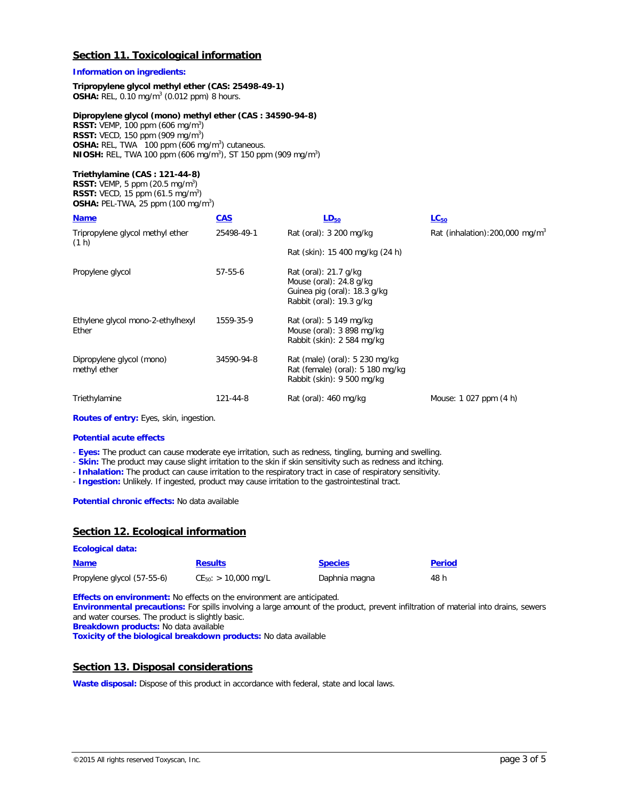# **Section 11. Toxicological information**

### **Information on ingredients:**

#### **Tripropylene glycol methyl ether (CAS: 25498-49-1) OSHA:** REL, 0.10 mg/m3 (0.012 ppm) 8 hours.

# **Dipropylene glycol (mono) methyl ether (CAS : 34590-94-8)**

**RSST:** VEMP, 100 ppm (606 mg/m<sup>3</sup>) **RSST:** VECD, 150 ppm (909 mg/m<sup>3</sup>) **OSHA:** REL, TWA 100 ppm (606 mg/m<sup>3</sup>) cutaneous. **NIOSH:** REL, TWA 100 ppm (606 mg/m<sup>3</sup>), ST 150 ppm (909 mg/m<sup>3</sup>)

### **Triethylamine (CAS : 121-44-8)**

**RSST:** VEMP, 5 ppm  $(20.5 \text{ mg/m}^3)$ **RSST:** VECD, 15 ppm (61.5 mg/m<sup>3</sup>) **OSHA: PEL-TWA, 25 ppm (100 mg/m<sup>3</sup>)** 

| <b>Name</b>                                | <b>CAS</b>    | $LD_{50}$                                                                                                      | $LC_{50}$                                   |
|--------------------------------------------|---------------|----------------------------------------------------------------------------------------------------------------|---------------------------------------------|
| Tripropylene glycol methyl ether<br>(1 h)  | 25498-49-1    | Rat (oral): 3 200 mg/kg                                                                                        | Rat (inhalation): 200,000 mg/m <sup>3</sup> |
|                                            |               | Rat (skin): 15 400 mg/kg (24 h)                                                                                |                                             |
| Propylene glycol                           | $57 - 55 - 6$ | Rat (oral): 21.7 g/kg<br>Mouse (oral): $24.8$ g/kg<br>Guinea pig (oral): 18.3 g/kg<br>Rabbit (oral): 19.3 g/kg |                                             |
| Ethylene glycol mono-2-ethylhexyl<br>Ether | 1559-35-9     | Rat (oral): 5 149 mg/kg<br>Mouse (oral): $3898 \text{ mg/kg}$<br>Rabbit (skin): 2 584 mg/kg                    |                                             |
| Dipropylene glycol (mono)<br>methyl ether  | 34590-94-8    | Rat (male) (oral): 5 230 mg/kg<br>Rat (female) (oral): 5 180 mg/kg<br>Rabbit (skin): 9 500 mg/kg               |                                             |
| Triethylamine                              | 121-44-8      | Rat (oral): 460 mg/kg                                                                                          | Mouse: 1 027 ppm (4 h)                      |

**Routes of entry:** Eyes, skin, ingestion.

#### **Potential acute effects**

**Ecological data:**

- **Eyes:** The product can cause moderate eye irritation, such as redness, tingling, burning and swelling.

- **Skin:** The product may cause slight irritation to the skin if skin sensitivity such as redness and itching.

- **Inhalation:** The product can cause irritation to the respiratory tract in case of respiratory sensitivity.

- **Ingestion:** Unlikely. If ingested, product may cause irritation to the gastrointestinal tract.

**Potential chronic effects:** No data available

# **Section 12. Ecological information**

| <b>Name</b>                | <b>Results</b>            | <b>Species</b> | <b>Period</b> |
|----------------------------|---------------------------|----------------|---------------|
| Propylene glycol (57-55-6) | $CE_{50}$ : > 10,000 mg/L | Daphnia magna  | 48 h          |

**Effects on environment:** No effects on the environment are anticipated.

**Environmental precautions:** For spills involving a large amount of the product, prevent infiltration of material into drains, sewers and water courses. The product is slightly basic. **Breakdown products:** No data available

**Toxicity of the biological breakdown products:** No data available

# **Section 13. Disposal considerations**

Waste disposal: Dispose of this product in accordance with federal, state and local laws.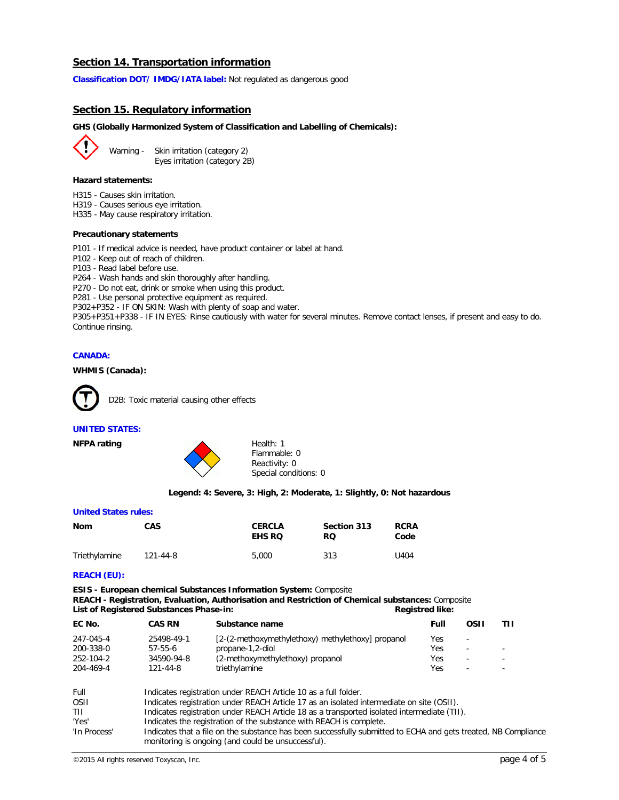# **Section 14. Transportation information**

**Classification DOT/ IMDG/IATA label:** Not regulated as dangerous good

### **Section 15. Regulatory information**

#### **GHS (Globally Harmonized System of Classification and Labelling of Chemicals):**

Warning - Skin irritation (category 2) Eyes irritation (category 2B)

#### **Hazard statements:**

- H315 Causes skin irritation.
- H319 Causes serious eye irritation.

H335 - May cause respiratory irritation.

#### **Precautionary statements**

P101 - If medical advice is needed, have product container or label at hand.

- P102 Keep out of reach of children.
- P103 Read label before use.

P264 - Wash hands and skin thoroughly after handling.

P270 - Do not eat, drink or smoke when using this product.

P281 - Use personal protective equipment as required.

P302+P352 - IF ON SKIN: Wash with plenty of soap and water.

P305+P351+P338 - IF IN EYES: Rinse cautiously with water for several minutes. Remove contact lenses, if present and easy to do. Continue rinsing.

### **CANADA:**

#### **WHMIS (Canada):**



D2B: Toxic material causing other effects

#### **UNITED STATES:**



Flammable: 0 Reactivity: 0 Special conditions: 0

#### **Legend: 4: Severe, 3: High, 2: Moderate, 1: Slightly, 0: Not hazardous**

#### **United States rules:**

| Nom           | <b>CAS</b> | <b>CERCLA</b><br><b>EHS RO</b> | Section 313<br>RQ. | <b>RCRA</b><br>Code |
|---------------|------------|--------------------------------|--------------------|---------------------|
| Triethylamine | 121-44-8   | 5,000                          | 313                | U404                |

#### **REACH (EU):**

**ESIS - European chemical Substances Information System:** Composite **REACH - Registration, Evaluation, Authorisation and Restriction of Chemical substances:** Composite List of Registered Substances Phase-in: **Registred like:** Registred like:

| EC No.    | <b>CAS RN</b> | Substance name                                    | Full | OSII                     |                          |
|-----------|---------------|---------------------------------------------------|------|--------------------------|--------------------------|
| 247-045-4 | 25498-49-1    | [2-(2-methoxymethylethoxy) methylethoxy] propanol | Yes  | $\overline{\phantom{a}}$ |                          |
| 200-338-0 | $57-55-6$     | propane-1,2-diol                                  | Yes  | $\overline{\phantom{0}}$ | $\overline{\phantom{0}}$ |
| 252-104-2 | 34590-94-8    | (2-methoxymethylethoxy) propanol                  | Yes  | $\overline{\phantom{a}}$ |                          |
| 204-469-4 | 121-44-8      | triethylamine                                     | Yes  | $\overline{\phantom{a}}$ | $\overline{\phantom{a}}$ |
|           |               |                                                   |      |                          |                          |

| Full         | Indicates registration under REACH Article 10 as a full folder.                                                |
|--------------|----------------------------------------------------------------------------------------------------------------|
| <b>OSII</b>  | Indicates registration under REACH Article 17 as an isolated intermediate on site (OSII).                      |
| TII          | Indicates registration under REACH Article 18 as a transported isolated intermediate (TII).                    |
| 'Yes'        | Indicates the registration of the substance with REACH is complete.                                            |
| 'In Process' | Indicates that a file on the substance has been successfully submitted to ECHA and gets treated, NB Compliance |
|              | monitoring is ongoing (and could be unsuccessful).                                                             |